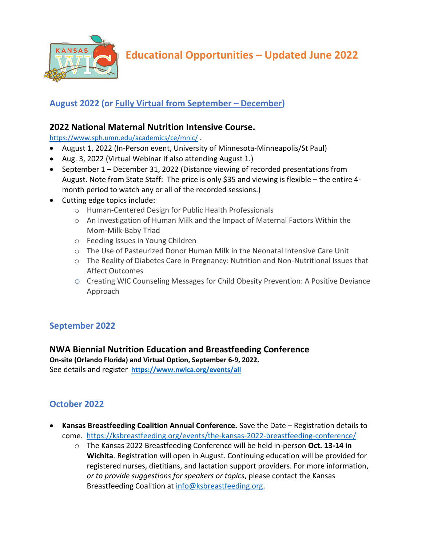

**Educational Opportunities – Updated June 2022**

# **August 2022 (or Fully Virtual from September – December)**

### **2022 National Maternal Nutrition Intensive Course.**

<https://www.sph.umn.edu/academics/ce/mnic/> .

- August 1, 2022 (In-Person event, University of Minnesota-Minneapolis/St Paul)
- Aug. 3, 2022 (Virtual Webinar if also attending August 1.)
- September 1 December 31, 2022 (Distance viewing of recorded presentations from August. Note from State Staff: The price is only \$35 and viewing is flexible – the entire 4 month period to watch any or all of the recorded sessions.)
- Cutting edge topics include:
	- o Human-Centered Design for Public Health Professionals
	- o An Investigation of Human Milk and the Impact of Maternal Factors Within the Mom-Milk-Baby Triad
	- o Feeding Issues in Young Children
	- o The Use of Pasteurized Donor Human Milk in the Neonatal Intensive Care Unit
	- o The Reality of Diabetes Care in Pregnancy: Nutrition and Non-Nutritional Issues that Affect Outcomes
	- o Creating WIC Counseling Messages for Child Obesity Prevention: A Positive Deviance Approach

## **September 2022**

#### **NWA Biennial Nutrition Education and Breastfeeding Conference**

**On-site (Orlando Florida) and Virtual Option, September 6-9, 2022.** See details and register**<https://www.nwica.org/events/all>**

#### **October 2022**

- **Kansas Breastfeeding Coalition Annual Conference.** Save the Date Registration details to come. <https://ksbreastfeeding.org/events/the-kansas-2022-breastfeeding-conference/>
	- o The Kansas 2022 Breastfeeding Conference will be held in-person **Oct. 13-14 in Wichita**. Registration will open in August. Continuing education will be provided for registered nurses, dietitians, and lactation support providers. For more information, *or to provide suggestions for speakers or topics*, please contact the Kansas Breastfeeding Coalition at [info@ksbreastfeeding.org.](mailto:info@ksbreastfeeding.org)